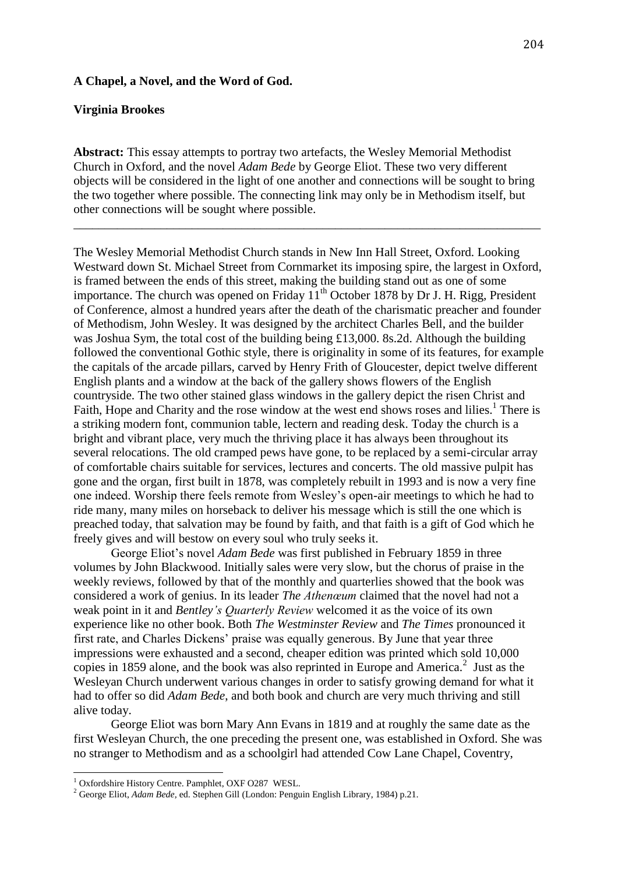#### **A Chapel, a Novel, and the Word of God.**

## **Virginia Brookes**

**Abstract:** This essay attempts to portray two artefacts, the Wesley Memorial Methodist Church in Oxford, and the novel *Adam Bede* by George Eliot. These two very different objects will be considered in the light of one another and connections will be sought to bring the two together where possible. The connecting link may only be in Methodism itself, but other connections will be sought where possible.

\_\_\_\_\_\_\_\_\_\_\_\_\_\_\_\_\_\_\_\_\_\_\_\_\_\_\_\_\_\_\_\_\_\_\_\_\_\_\_\_\_\_\_\_\_\_\_\_\_\_\_\_\_\_\_\_\_\_\_\_\_\_\_\_\_\_\_\_\_\_\_\_\_\_\_

The Wesley Memorial Methodist Church stands in New Inn Hall Street, Oxford. Looking Westward down St. Michael Street from Cornmarket its imposing spire, the largest in Oxford, is framed between the ends of this street, making the building stand out as one of some importance. The church was opened on Friday  $11<sup>th</sup>$  October 1878 by Dr J. H. Rigg, President of Conference, almost a hundred years after the death of the charismatic preacher and founder of Methodism, John Wesley. It was designed by the architect Charles Bell, and the builder was Joshua Sym, the total cost of the building being £13,000. 8s.2d. Although the building followed the conventional Gothic style, there is originality in some of its features, for example the capitals of the arcade pillars, carved by Henry Frith of Gloucester, depict twelve different English plants and a window at the back of the gallery shows flowers of the English countryside. The two other stained glass windows in the gallery depict the risen Christ and Faith, Hope and Charity and the rose window at the west end shows roses and lilies.<sup>1</sup> There is a striking modern font, communion table, lectern and reading desk. Today the church is a bright and vibrant place, very much the thriving place it has always been throughout its several relocations. The old cramped pews have gone, to be replaced by a semi-circular array of comfortable chairs suitable for services, lectures and concerts. The old massive pulpit has gone and the organ, first built in 1878, was completely rebuilt in 1993 and is now a very fine one indeed. Worship there feels remote from Wesley's open-air meetings to which he had to ride many, many miles on horseback to deliver his message which is still the one which is preached today, that salvation may be found by faith, and that faith is a gift of God which he freely gives and will bestow on every soul who truly seeks it.

 George Eliot's novel *Adam Bede* was first published in February 1859 in three volumes by John Blackwood. Initially sales were very slow, but the chorus of praise in the weekly reviews, followed by that of the monthly and quarterlies showed that the book was considered a work of genius. In its leader *The Athenœum* claimed that the novel had not a weak point in it and *Bentley's Quarterly Review* welcomed it as the voice of its own experience like no other book. Both *The Westminster Review* and *The Times* pronounced it first rate, and Charles Dickens' praise was equally generous. By June that year three impressions were exhausted and a second, cheaper edition was printed which sold 10,000 copies in 1859 alone, and the book was also reprinted in Europe and America.<sup>2</sup> Just as the Wesleyan Church underwent various changes in order to satisfy growing demand for what it had to offer so did *Adam Bede*, and both book and church are very much thriving and still alive today.

 George Eliot was born Mary Ann Evans in 1819 and at roughly the same date as the first Wesleyan Church, the one preceding the present one, was established in Oxford. She was no stranger to Methodism and as a schoolgirl had attended Cow Lane Chapel, Coventry,

 $\overline{a}$ 

<sup>&</sup>lt;sup>1</sup> Oxfordshire History Centre. Pamphlet, OXF O287 WESL.

<sup>2</sup> George Eliot, *Adam Bede,* ed. Stephen Gill (London: Penguin English Library, 1984) p.21.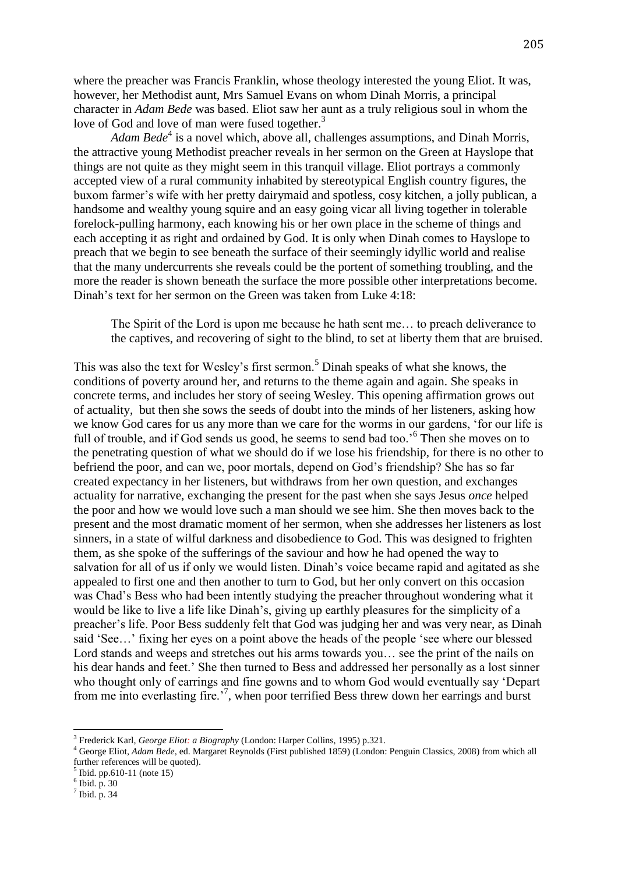where the preacher was Francis Franklin, whose theology interested the young Eliot. It was, however, her Methodist aunt, Mrs Samuel Evans on whom Dinah Morris, a principal character in *Adam Bede* was based. Eliot saw her aunt as a truly religious soul in whom the love of God and love of man were fused together.<sup>3</sup>

Adam Bede<sup>4</sup> is a novel which, above all, challenges assumptions, and Dinah Morris, the attractive young Methodist preacher reveals in her sermon on the Green at Hayslope that things are not quite as they might seem in this tranquil village. Eliot portrays a commonly accepted view of a rural community inhabited by stereotypical English country figures, the buxom farmer's wife with her pretty dairymaid and spotless, cosy kitchen, a jolly publican, a handsome and wealthy young squire and an easy going vicar all living together in tolerable forelock-pulling harmony, each knowing his or her own place in the scheme of things and each accepting it as right and ordained by God. It is only when Dinah comes to Hayslope to preach that we begin to see beneath the surface of their seemingly idyllic world and realise that the many undercurrents she reveals could be the portent of something troubling, and the more the reader is shown beneath the surface the more possible other interpretations become. Dinah's text for her sermon on the Green was taken from Luke 4:18:

The Spirit of the Lord is upon me because he hath sent me… to preach deliverance to the captives, and recovering of sight to the blind, to set at liberty them that are bruised.

This was also the text for Wesley's first sermon.<sup>5</sup> Dinah speaks of what she knows, the conditions of poverty around her, and returns to the theme again and again. She speaks in concrete terms, and includes her story of seeing Wesley. This opening affirmation grows out of actuality, but then she sows the seeds of doubt into the minds of her listeners, asking how we know God cares for us any more than we care for the worms in our gardens, 'for our life is full of trouble, and if God sends us good, he seems to send bad too.<sup>56</sup> Then she moves on to the penetrating question of what we should do if we lose his friendship, for there is no other to befriend the poor, and can we, poor mortals, depend on God's friendship? She has so far created expectancy in her listeners, but withdraws from her own question, and exchanges actuality for narrative, exchanging the present for the past when she says Jesus *once* helped the poor and how we would love such a man should we see him. She then moves back to the present and the most dramatic moment of her sermon, when she addresses her listeners as lost sinners, in a state of wilful darkness and disobedience to God. This was designed to frighten them, as she spoke of the sufferings of the saviour and how he had opened the way to salvation for all of us if only we would listen. Dinah's voice became rapid and agitated as she appealed to first one and then another to turn to God, but her only convert on this occasion was Chad's Bess who had been intently studying the preacher throughout wondering what it would be like to live a life like Dinah's, giving up earthly pleasures for the simplicity of a preacher's life. Poor Bess suddenly felt that God was judging her and was very near, as Dinah said 'See…' fixing her eyes on a point above the heads of the people 'see where our blessed Lord stands and weeps and stretches out his arms towards you… see the print of the nails on his dear hands and feet.' She then turned to Bess and addressed her personally as a lost sinner who thought only of earrings and fine gowns and to whom God would eventually say 'Depart from me into everlasting fire.<sup>7</sup>, when poor terrified Bess threw down her earrings and burst

 $\overline{\phantom{a}}$ 

<sup>3</sup> Frederick Karl, *George Eliot: a Biography* (London: Harper Collins, 1995) p.321.

<sup>4</sup> George Eliot, *Adam Bede,* ed. Margaret Reynolds (First published 1859) (London: Penguin Classics, 2008) from which all further references will be quoted).

 $<sup>5</sup>$  Ibid. pp.610-11 (note 15)</sup>

 $6$  Ibid. p. 30

 $<sup>7</sup>$  Ibid. p. 34</sup>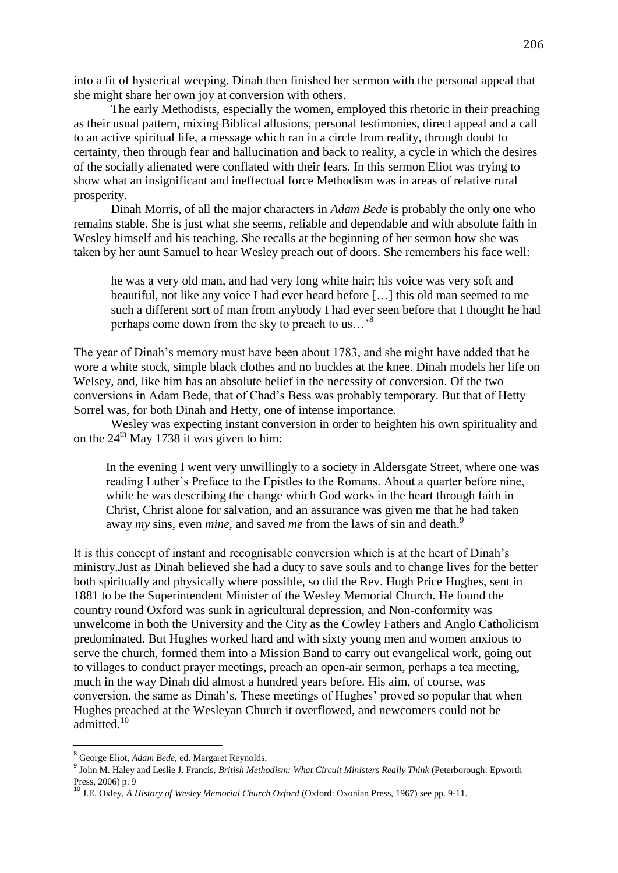into a fit of hysterical weeping. Dinah then finished her sermon with the personal appeal that she might share her own joy at conversion with others.

 The early Methodists, especially the women, employed this rhetoric in their preaching as their usual pattern, mixing Biblical allusions, personal testimonies, direct appeal and a call to an active spiritual life, a message which ran in a circle from reality, through doubt to certainty, then through fear and hallucination and back to reality, a cycle in which the desires of the socially alienated were conflated with their fears. In this sermon Eliot was trying to show what an insignificant and ineffectual force Methodism was in areas of relative rural prosperity.

 Dinah Morris, of all the major characters in *Adam Bede* is probably the only one who remains stable. She is just what she seems, reliable and dependable and with absolute faith in Wesley himself and his teaching. She recalls at the beginning of her sermon how she was taken by her aunt Samuel to hear Wesley preach out of doors. She remembers his face well:

he was a very old man, and had very long white hair; his voice was very soft and beautiful, not like any voice I had ever heard before […] this old man seemed to me such a different sort of man from anybody I had ever seen before that I thought he had perhaps come down from the sky to preach to us…'<sup>8</sup>

The year of Dinah's memory must have been about 1783, and she might have added that he wore a white stock, simple black clothes and no buckles at the knee. Dinah models her life on Welsey, and, like him has an absolute belief in the necessity of conversion. Of the two conversions in Adam Bede, that of Chad's Bess was probably temporary. But that of Hetty Sorrel was, for both Dinah and Hetty, one of intense importance.

 Wesley was expecting instant conversion in order to heighten his own spirituality and on the  $24<sup>th</sup>$  May 1738 it was given to him:

In the evening I went very unwillingly to a society in Aldersgate Street, where one was reading Luther's Preface to the Epistles to the Romans. About a quarter before nine, while he was describing the change which God works in the heart through faith in Christ, Christ alone for salvation, and an assurance was given me that he had taken away *my* sins, even *mine*, and saved *me* from the laws of sin and death.<sup>9</sup>

It is this concept of instant and recognisable conversion which is at the heart of Dinah's ministry.Just as Dinah believed she had a duty to save souls and to change lives for the better both spiritually and physically where possible, so did the Rev. Hugh Price Hughes, sent in 1881 to be the Superintendent Minister of the Wesley Memorial Church. He found the country round Oxford was sunk in agricultural depression, and Non-conformity was unwelcome in both the University and the City as the Cowley Fathers and Anglo Catholicism predominated. But Hughes worked hard and with sixty young men and women anxious to serve the church, formed them into a Mission Band to carry out evangelical work, going out to villages to conduct prayer meetings, preach an open-air sermon, perhaps a tea meeting, much in the way Dinah did almost a hundred years before. His aim, of course, was conversion, the same as Dinah's. These meetings of Hughes' proved so popular that when Hughes preached at the Wesleyan Church it overflowed, and newcomers could not be admitted.<sup>10</sup>

 8 George Eliot, *Adam Bede,* ed. Margaret Reynolds.

<sup>9</sup> John M. Haley and Leslie J. Francis, *British Methodism: What Circuit Ministers Really Think* (Peterborough: Epworth Press, 2006) p. 9

<sup>10</sup> J.E. Oxley, *A History of Wesley Memorial Church Oxford* (Oxford: Oxonian Press, 1967) see pp. 9-11.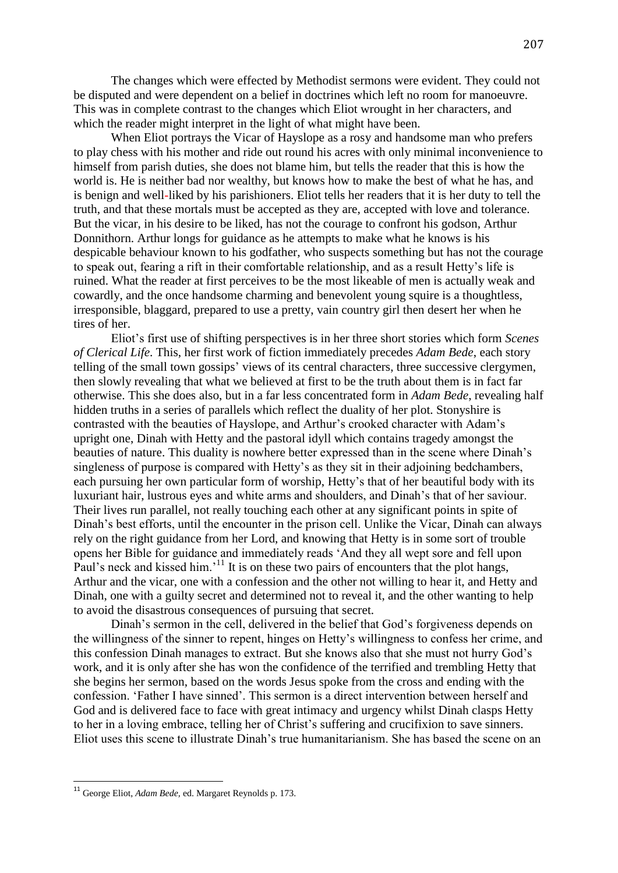The changes which were effected by Methodist sermons were evident. They could not be disputed and were dependent on a belief in doctrines which left no room for manoeuvre. This was in complete contrast to the changes which Eliot wrought in her characters, and which the reader might interpret in the light of what might have been.

 When Eliot portrays the Vicar of Hayslope as a rosy and handsome man who prefers to play chess with his mother and ride out round his acres with only minimal inconvenience to himself from parish duties, she does not blame him, but tells the reader that this is how the world is. He is neither bad nor wealthy, but knows how to make the best of what he has, and is benign and well-liked by his parishioners. Eliot tells her readers that it is her duty to tell the truth, and that these mortals must be accepted as they are, accepted with love and tolerance. But the vicar, in his desire to be liked, has not the courage to confront his godson, Arthur Donnithorn. Arthur longs for guidance as he attempts to make what he knows is his despicable behaviour known to his godfather, who suspects something but has not the courage to speak out, fearing a rift in their comfortable relationship, and as a result Hetty's life is ruined. What the reader at first perceives to be the most likeable of men is actually weak and cowardly, and the once handsome charming and benevolent young squire is a thoughtless, irresponsible, blaggard, prepared to use a pretty, vain country girl then desert her when he tires of her.

 Eliot's first use of shifting perspectives is in her three short stories which form *Scenes of Clerical Life*. This, her first work of fiction immediately precedes *Adam Bede*, each story telling of the small town gossips' views of its central characters, three successive clergymen, then slowly revealing that what we believed at first to be the truth about them is in fact far otherwise. This she does also, but in a far less concentrated form in *Adam Bede*, revealing half hidden truths in a series of parallels which reflect the duality of her plot. Stonyshire is contrasted with the beauties of Hayslope, and Arthur's crooked character with Adam's upright one, Dinah with Hetty and the pastoral idyll which contains tragedy amongst the beauties of nature. This duality is nowhere better expressed than in the scene where Dinah's singleness of purpose is compared with Hetty's as they sit in their adjoining bedchambers, each pursuing her own particular form of worship, Hetty's that of her beautiful body with its luxuriant hair, lustrous eyes and white arms and shoulders, and Dinah's that of her saviour. Their lives run parallel, not really touching each other at any significant points in spite of Dinah's best efforts, until the encounter in the prison cell. Unlike the Vicar, Dinah can always rely on the right guidance from her Lord, and knowing that Hetty is in some sort of trouble opens her Bible for guidance and immediately reads 'And they all wept sore and fell upon Paul's neck and kissed him.<sup>11</sup> It is on these two pairs of encounters that the plot hangs, Arthur and the vicar, one with a confession and the other not willing to hear it, and Hetty and Dinah, one with a guilty secret and determined not to reveal it, and the other wanting to help to avoid the disastrous consequences of pursuing that secret.

 Dinah's sermon in the cell, delivered in the belief that God's forgiveness depends on the willingness of the sinner to repent, hinges on Hetty's willingness to confess her crime, and this confession Dinah manages to extract. But she knows also that she must not hurry God's work, and it is only after she has won the confidence of the terrified and trembling Hetty that she begins her sermon, based on the words Jesus spoke from the cross and ending with the confession. 'Father I have sinned'. This sermon is a direct intervention between herself and God and is delivered face to face with great intimacy and urgency whilst Dinah clasps Hetty to her in a loving embrace, telling her of Christ's suffering and crucifixion to save sinners. Eliot uses this scene to illustrate Dinah's true humanitarianism. She has based the scene on an

 $\overline{\phantom{a}}$ 

<sup>11</sup> George Eliot, *Adam Bede,* ed. Margaret Reynolds p. 173.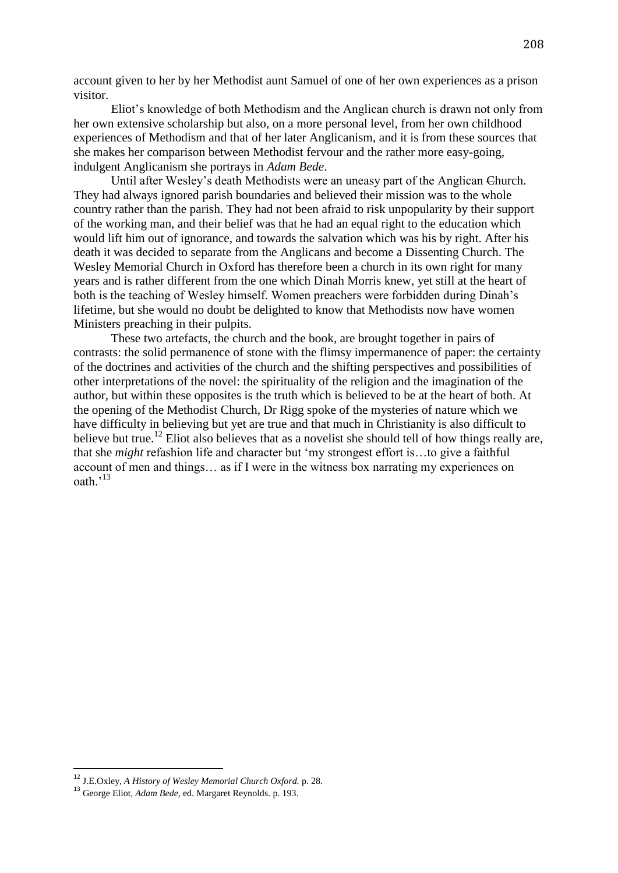account given to her by her Methodist aunt Samuel of one of her own experiences as a prison visitor.

 Eliot's knowledge of both Methodism and the Anglican church is drawn not only from her own extensive scholarship but also, on a more personal level, from her own childhood experiences of Methodism and that of her later Anglicanism, and it is from these sources that she makes her comparison between Methodist fervour and the rather more easy-going, indulgent Anglicanism she portrays in *Adam Bede*.

 Until after Wesley's death Methodists were an uneasy part of the Anglican Church. They had always ignored parish boundaries and believed their mission was to the whole country rather than the parish. They had not been afraid to risk unpopularity by their support of the working man, and their belief was that he had an equal right to the education which would lift him out of ignorance, and towards the salvation which was his by right. After his death it was decided to separate from the Anglicans and become a Dissenting Church. The Wesley Memorial Church in Oxford has therefore been a church in its own right for many years and is rather different from the one which Dinah Morris knew, yet still at the heart of both is the teaching of Wesley himself. Women preachers were forbidden during Dinah's lifetime, but she would no doubt be delighted to know that Methodists now have women Ministers preaching in their pulpits.

 These two artefacts, the church and the book, are brought together in pairs of contrasts: the solid permanence of stone with the flimsy impermanence of paper: the certainty of the doctrines and activities of the church and the shifting perspectives and possibilities of other interpretations of the novel: the spirituality of the religion and the imagination of the author, but within these opposites is the truth which is believed to be at the heart of both. At the opening of the Methodist Church, Dr Rigg spoke of the mysteries of nature which we have difficulty in believing but yet are true and that much in Christianity is also difficult to believe but true.<sup>12</sup> Eliot also believes that as a novelist she should tell of how things really are, that she *might* refashion life and character but 'my strongest effort is…to give a faithful account of men and things… as if I were in the witness box narrating my experiences on oath.'<sup>13</sup>

 $\overline{a}$ 

<sup>12</sup> J.E.Oxley, *A History of Wesley Memorial Church Oxford.* p. 28.

<sup>13</sup> George Eliot, *Adam Bede,* ed. Margaret Reynolds. p. 193.